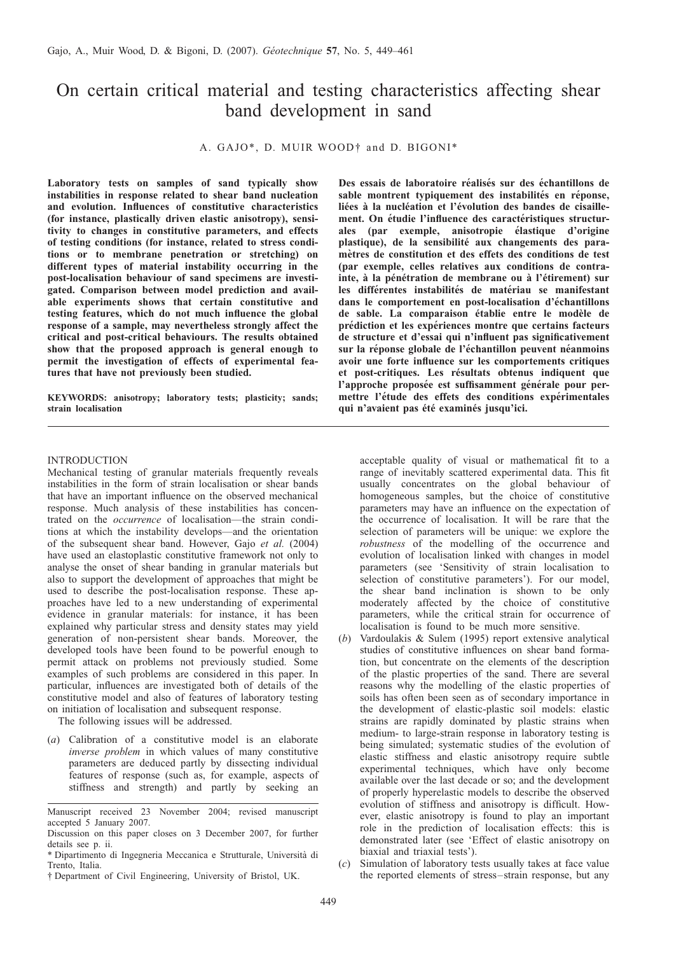# On certain critical material and testing characteristics affecting shear band development in sand

A. GAJO\*, D. MUIR WOOD† and D. BIGONI\*

Laboratory tests on samples of sand typically show instabilities in response related to shear band nucleation and evolution. Influences of constitutive characteristics (for instance, plastically driven elastic anisotropy), sensitivity to changes in constitutive parameters, and effects of testing conditions (for instance, related to stress conditions or to membrane penetration or stretching) on different types of material instability occurring in the post-localisation behaviour of sand specimens are investigated. Comparison between model prediction and available experiments shows that certain constitutive and testing features, which do not much influence the global response of a sample, may nevertheless strongly affect the critical and post-critical behaviours. The results obtained show that the proposed approach is general enough to permit the investigation of effects of experimental features that have not previously been studied.

KEYWORDS: anisotropy; laboratory tests; plasticity; sands; strain localisation

Des essais de laboratoire réalisés sur des échantillons de sable montrent typiquement des instabilités en réponse, liées à la nucléation et l'évolution des bandes de cisaillement. On étudie l'influence des caractéristiques structurales (par exemple, anisotropie élastique d'origine plastique), de la sensibilité aux changements des paramètres de constitution et des effets des conditions de test (par exemple, celles relatives aux conditions de contrainte, à la pénétration de membrane ou à l'étirement) sur les différentes instabilités de matériau se manifestant dans le comportement en post-localisation d'échantillons de sable. La comparaison établie entre le modèle de prédiction et les expériences montre que certains facteurs de structure et d'essai qui n'influent pas significativement sur la réponse globale de l'échantillon peuvent néanmoins avoir une forte influence sur les comportements critiques et post-critiques. Les résultats obtenus indiquent que l'approche proposée est suffisamment générale pour permettre l'étude des effets des conditions expérimentales qui n'avaient pas été examinés jusqu'ici.

## INTRODUCTION

Mechanical testing of granular materials frequently reveals instabilities in the form of strain localisation or shear bands that have an important influence on the observed mechanical response. Much analysis of these instabilities has concentrated on the occurrence of localisation—the strain conditions at which the instability develops—and the orientation of the subsequent shear band. However, Gajo et al. [\(2004\)](#page-12-0) have used an elastoplastic constitutive framework not only to analyse the onset of shear banding in granular materials but also to support the development of approaches that might be used to describe the post-localisation response. These approaches have led to a new understanding of experimental evidence in granular materials: for instance, it has been explained why particular stress and density states may yield generation of non-persistent shear bands. Moreover, the developed tools have been found to be powerful enough to permit attack on problems not previously studied. Some examples of such problems are considered in this paper. In particular, influences are investigated both of details of the constitutive model and also of features of laboratory testing on initiation of localisation and subsequent response.

The following issues will be addressed.

(a) Calibration of a constitutive model is an elaborate inverse problem in which values of many constitutive parameters are deduced partly by dissecting individual features of response (such as, for example, aspects of stiffness and strength) and partly by seeking an acceptable quality of visual or mathematical fit to a range of inevitably scattered experimental data. This fit usually concentrates on the global behaviour of homogeneous samples, but the choice of constitutive parameters may have an influence on the expectation of the occurrence of localisation. It will be rare that the selection of parameters will be unique: we explore the robustness of the modelling of the occurrence and evolution of localisation linked with changes in model parameters (see 'Sensitivity of strain localisation to selection of constitutive parameters'). For our model, the shear band inclination is shown to be only moderately affected by the choice of constitutive parameters, while the critical strain for occurrence of localisation is found to be much more sensitive.

- (b) [Vardoulakis & Sulem \(1995\)](#page-12-0) report extensive analytical studies of constitutive influences on shear band formation, but concentrate on the elements of the description of the plastic properties of the sand. There are several reasons why the modelling of the elastic properties of soils has often been seen as of secondary importance in the development of elastic-plastic soil models: elastic strains are rapidly dominated by plastic strains when medium- to large-strain response in laboratory testing is being simulated; systematic studies of the evolution of elastic stiffness and elastic anisotropy require subtle experimental techniques, which have only become available over the last decade or so; and the development of properly hyperelastic models to describe the observed evolution of stiffness and anisotropy is difficult. However, elastic anisotropy is found to play an important role in the prediction of localisation effects: this is demonstrated later (see 'Effect of elastic anisotropy on biaxial and triaxial tests').
- (c) Simulation of laboratory tests usually takes at face value the reported elements of stress–strain response, but any

Manuscript received 23 November 2004; revised manuscript accepted 5 January 2007.

Discussion on this paper closes on 3 December 2007, for further details see p. ii.

<sup>\*</sup> Dipartimento di Ingegneria Meccanica e Strutturale, Universita` di Trento, Italia.

<sup>†</sup> Department of Civil Engineering, University of Bristol, UK.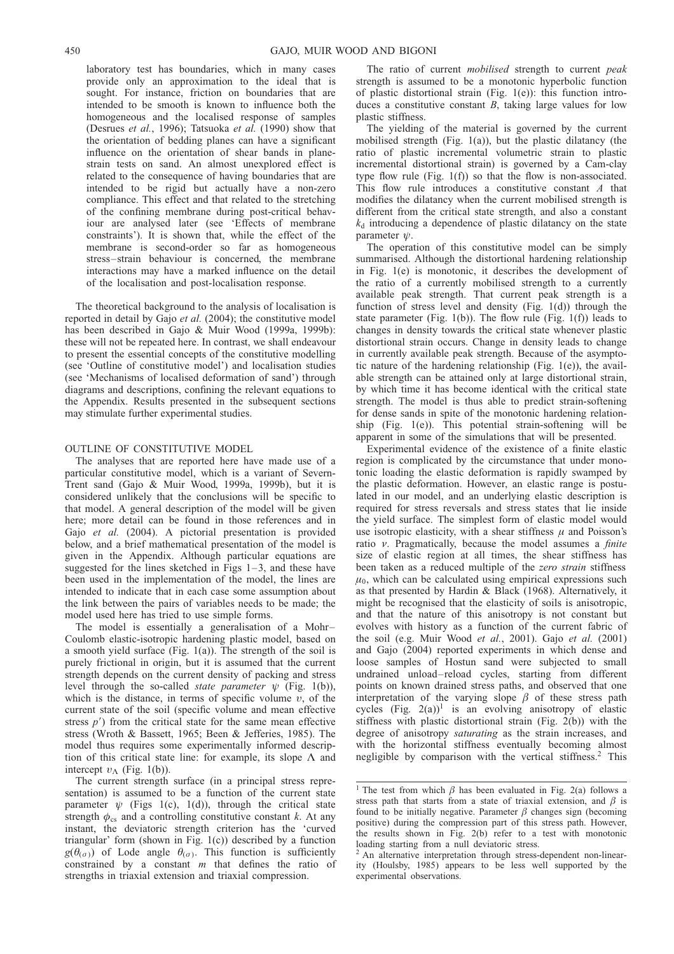laboratory test has boundaries, which in many cases provide only an approximation to the ideal that is sought. For instance, friction on boundaries that are intended to be smooth is known to influence both the homogeneous and the localised response of samples [\(Desrues](#page-12-0) et al., 1996); [Tatsuoka](#page-12-0) et al. (1990) show that the orientation of bedding planes can have a significant influence on the orientation of shear bands in planestrain tests on sand. An almost unexplored effect is related to the consequence of having boundaries that are intended to be rigid but actually have a non-zero compliance. This effect and that related to the stretching of the confining membrane during post-critical behaviour are analysed later (see 'Effects of membrane constraints'). It is shown that, while the effect of the membrane is second-order so far as homogeneous stress–strain behaviour is concerned, the membrane interactions may have a marked influence on the detail of the localisation and post-localisation response.

The theoretical background to the analysis of localisation is reported in detail by Gajo et al. [\(2004\)](#page-12-0); the constitutive model has been described in [Gajo & Muir Wood \(1999a, 1999b\)](#page-12-0): these will not be repeated here. In contrast, we shall endeavour to present the essential concepts of the constitutive modelling (see 'Outline of constitutive model') and localisation studies (see 'Mechanisms of localised deformation of sand') through diagrams and descriptions, confining the relevant equations to the [Appendix.](#page-11-0) Results presented in the subsequent sections may stimulate further experimental studies.

### OUTLINE OF CONSTITUTIVE MODEL

The analyses that are reported here have made use of a particular constitutive model, which is a variant of Severn-Trent sand [\(Gajo & Muir Wood, 1999a, 1999b\)](#page-12-0), but it is considered unlikely that the conclusions will be specific to that model. A general description of the model will be given here; more detail can be found in those references and in Gajo et al. [\(2004\)](#page-12-0). A pictorial presentation is provided below, and a brief mathematical presentation of the model is given in the [Appendix.](#page-11-0) Although particular equations are suggested for the lines sketched in Figs  $1-3$ , and these have been used in the implementation of the model, the lines are intended to indicate that in each case some assumption about the link between the pairs of variables needs to be made; the model used here has tried to use simple forms.

The model is essentially a generalisation of a Mohr– Coulomb elastic-isotropic hardening plastic model, based on a smooth yield surface (Fig. [1\(](#page-2-0)a)). The strength of the soil is purely frictional in origin, but it is assumed that the current strength depends on the current density of packing and stress level through the so-called *state parameter*  $\psi$  (Fig. [1\(](#page-2-0)b)), which is the distance, in terms of specific volume  $v$ , of the current state of the soil (specific volume and mean effective stress  $p'$ ) from the critical state for the same mean effective stress [\(Wroth & Bassett, 1965; Been & Jefferies, 1985\)](#page-12-0). The model thus requires some experimentally informed description of this critical state line: for example, its slope  $\Lambda$  and intercept  $v_{\Lambda}$  (Fig. [1\(](#page-2-0)b)).

The current strength surface (in a principal stress representation) is assumed to be a function of the current state parameter  $\psi$  (Figs [1\(](#page-2-0)c), 1(d)), through the critical state strength  $\phi_{cs}$  and a controlling constitutive constant k. At any instant, the deviatoric strength criterion has the 'curved triangular' form (shown in Fig. [1\(c](#page-2-0))) described by a function  $g(\theta_{(\sigma)})$  of Lode angle  $\theta_{(\sigma)}$ . This function is sufficiently constrained by a constant  $m$  that defines the ratio of strengths in triaxial extension and triaxial compression.

The ratio of current *mobilised* strength to current *peak* strength is assumed to be a monotonic hyperbolic function of plastic distortional strain (Fig. [1\(](#page-2-0)e)): this function introduces a constitutive constant  $B$ , taking large values for low plastic stiffness.

The yielding of the material is governed by the current mobilised strength (Fig. [1\(](#page-2-0)a)), but the plastic dilatancy (the ratio of plastic incremental volumetric strain to plastic incremental distortional strain) is governed by a Cam-clay type flow rule (Fig. [1\(](#page-2-0)f)) so that the flow is non-associated. This flow rule introduces a constitutive constant A that modifies the dilatancy when the current mobilised strength is different from the critical state strength, and also a constant  $k_d$  introducing a dependence of plastic dilatancy on the state parameter  $\psi$ .

The operation of this constitutive model can be simply summarised. Although the distortional hardening relationship in Fig. [1\(](#page-2-0)e) is monotonic, it describes the development of the ratio of a currently mobilised strength to a currently available peak strength. That current peak strength is a function of stress level and density (Fig.  $1(d)$ ) through the state parameter (Fig. [1\(](#page-2-0)b)). The flow rule (Fig. [1\(f](#page-2-0))) leads to changes in density towards the critical state whenever plastic distortional strain occurs. Change in density leads to change in currently available peak strength. Because of the asymptotic nature of the hardening relationship (Fig. [1\(e](#page-2-0))), the available strength can be attained only at large distortional strain, by which time it has become identical with the critical state strength. The model is thus able to predict strain-softening for dense sands in spite of the monotonic hardening relationship (Fig. [1\(e](#page-2-0))). This potential strain-softening will be apparent in some of the simulations that will be presented.

Experimental evidence of the existence of a finite elastic region is complicated by the circumstance that under monotonic loading the elastic deformation is rapidly swamped by the plastic deformation. However, an elastic range is postulated in our model, and an underlying elastic description is required for stress reversals and stress states that lie inside the yield surface. The simplest form of elastic model would use isotropic elasticity, with a shear stiffness  $\mu$  and Poisson's ratio  $\nu$ . Pragmatically, because the model assumes a *finite* size of elastic region at all times, the shear stiffness has been taken as a reduced multiple of the zero strain stiffness  $\mu_0$ , which can be calculated using empirical expressions such as that presented by [Hardin & Black \(1968\)](#page-12-0). Alternatively, it might be recognised that the elasticity of soils is anisotropic, and that the nature of this anisotropy is not constant but evolves with history as a function of the current fabric of the soil (e.g. [Muir Wood](#page-12-0) et al., 2001). Gajo et al. [\(2001\)](#page-12-0) and [Gajo \(2004\)](#page-12-0) reported experiments in which dense and loose samples of Hostun sand were subjected to small undrained unload–reload cycles, starting from different points on known drained stress paths, and observed that one interpretation of the varying slope  $\beta$  of these stress path cycles  $(Fig. 2(a))^1$  $(Fig. 2(a))^1$  $(Fig. 2(a))^1$  is an evolving anisotropy of elastic stiffness with plastic distortional strain (Fig. [2\(b](#page-3-0))) with the degree of anisotropy saturating as the strain increases, and with the horizontal stiffness eventually becoming almost negligible by comparison with the vertical stiffness.<sup>2</sup> This

<sup>&</sup>lt;sup>1</sup> The test from which  $\beta$  has been evaluated in Fig. 2(a) follows a stress path that starts from a state of triaxial extension, and  $\beta$  is found to be initially negative. Parameter  $\beta$  changes sign (becoming positive) during the compression part of this stress path. However, the results shown in Fig. 2(b) refer to a test with monotonic loading starting from a null deviatoric stress.

<sup>&</sup>lt;sup>2</sup> An alternative interpretation through stress-dependent non-linearity (Houlsby, 1985) appears to be less well supported by the experimental observations.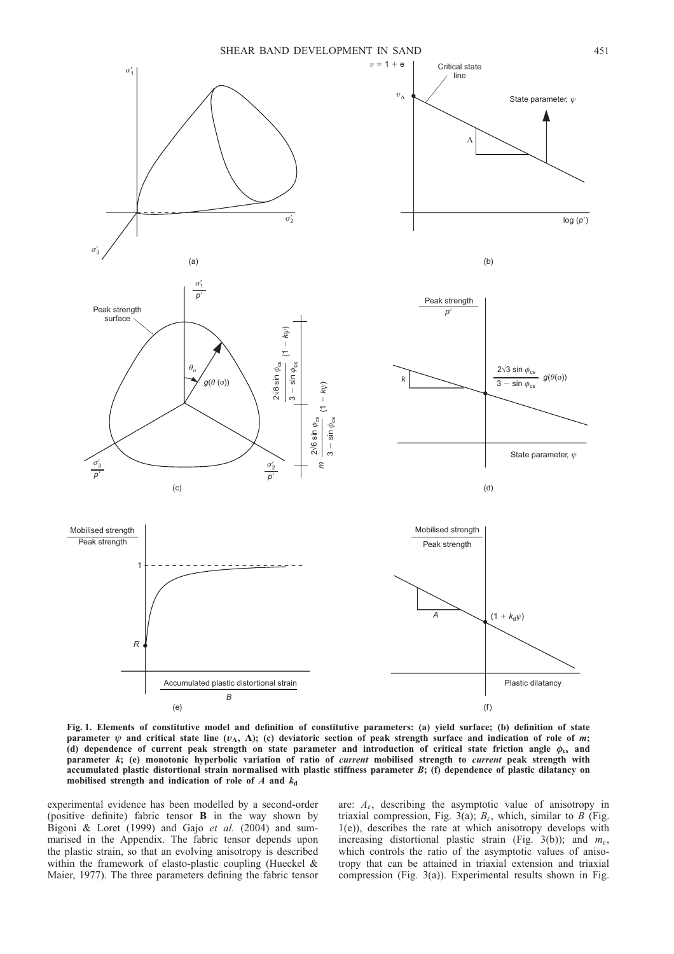<span id="page-2-0"></span>

Fig. 1. Elements of constitutive model and definition of constitutive parameters: (a) yield surface; (b) definition of state parameter  $\psi$  and critical state line  $(v_\Lambda, \Lambda)$ ; (c) deviatoric section of peak strength surface and indication of role of m; (d) dependence of current peak strength on state parameter and introduction of critical state friction angle  $\phi_{cs}$  and parameter k; (e) monotonic hyperbolic variation of ratio of current mobilised strength to current peak strength with accumulated plastic distortional strain normalised with plastic stiffness parameter B; (f) dependence of plastic dilatancy on mobilised strength and indication of role of  $A$  and  $k_d$ 

experimental evidence has been modelled by a second-order (positive definite) fabric tensor B in the way shown by [Bigoni & Loret \(1999\)](#page-12-0) and Gajo et al. [\(2004\)](#page-12-0) and summarised in the [Appendix.](#page-11-0) The fabric tensor depends upon the plastic strain, so that an evolving anisotropy is described within the framework of elasto-plastic coupling [\(Hueckel &](#page-12-0) [Maier, 1977\).](#page-12-0) The three parameters defining the fabric tensor

are:  $A_{\varepsilon}$ , describing the asymptotic value of anisotropy in triaxial compression, Fig. [3\(](#page-3-0)a);  $B_{\varepsilon}$ , which, similar to B (Fig. 1(e)), describes the rate at which anisotropy develops with increasing distortional plastic strain (Fig. [3\(](#page-3-0)b)); and  $m_{\varepsilon}$ , which controls the ratio of the asymptotic values of anisotropy that can be attained in triaxial extension and triaxial compression (Fig. [3\(](#page-3-0)a)). Experimental results shown in Fig.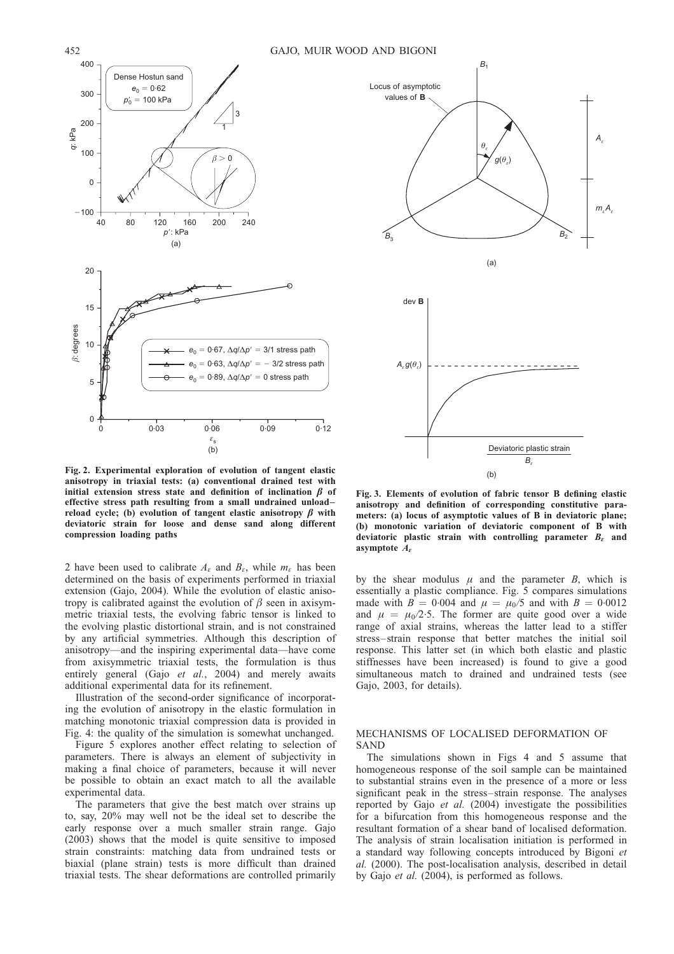



Fig. 2. Experimental exploration of evolution of tangent elastic anisotropy in triaxial tests: (a) conventional drained test with initial extension stress state and definition of inclination  $\beta$  of effective stress path resulting from a small undrained unload– reload cycle; (b) evolution of tangent elastic anisotropy  $\beta$  with deviatoric strain for loose and dense sand along different compression loading paths

2 have been used to calibrate  $A_{\varepsilon}$  and  $B_{\varepsilon}$ , while  $m_{\varepsilon}$  has been determined on the basis of experiments performed in triaxial extension [\(Gajo, 2004\)](#page-12-0). While the evolution of elastic anisotropy is calibrated against the evolution of  $\beta$  seen in axisymmetric triaxial tests, the evolving fabric tensor is linked to the evolving plastic distortional strain, and is not constrained by any artificial symmetries. Although this description of anisotropy—and the inspiring experimental data—have come from axisymmetric triaxial tests, the formulation is thus entirely general (Gajo et al.[, 2004\)](#page-12-0) and merely awaits additional experimental data for its refinement.

Illustration of the second-order significance of incorporating the evolution of anisotropy in the elastic formulation in matching monotonic triaxial compression data is provided in Fig. [4:](#page-4-0) the quality of the simulation is somewhat unchanged.

Figure [5](#page-4-0) explores another effect relating to selection of parameters. There is always an element of subjectivity in making a final choice of parameters, because it will never be possible to obtain an exact match to all the available experimental data.

The parameters that give the best match over strains up to, say, 20% may well not be the ideal set to describe the early response over a much smaller strain range. [Gajo](#page-12-0) [\(2003\)](#page-12-0) shows that the model is quite sensitive to imposed strain constraints: matching data from undrained tests or biaxial (plane strain) tests is more difficult than drained triaxial tests. The shear deformations are controlled primarily

Fig. 3. Elements of evolution of fabric tensor B defining elastic anisotropy and definition of corresponding constitutive parameters: (a) locus of asymptotic values of B in deviatoric plane; (b) monotonic variation of deviatoric component of B with deviatoric plastic strain with controlling parameter  $B_{\varepsilon}$  and asymptote  $A_{\epsilon}$ 

by the shear modulus  $\mu$  and the parameter  $B$ , which is essentially a plastic compliance. Fig. [5 c](#page-4-0)ompares simulations made with  $B = 0.004$  and  $\mu = \mu_0/5$  and with  $B = 0.0012$ and  $\mu = \mu_0/2.5$ . The former are quite good over a wide range of axial strains, whereas the latter lead to a stiffer stress–strain response that better matches the initial soil response. This latter set (in which both elastic and plastic stiffnesses have been increased) is found to give a good simultaneous match to drained and undrained tests (see [Gajo, 2003,](#page-12-0) for details).

## MECHANISMS OF LOCALISED DEFORMATION OF SAND

The simulations shown in Figs [4](#page-4-0) and [5](#page-4-0) assume that homogeneous response of the soil sample can be maintained to substantial strains even in the presence of a more or less significant peak in the stress–strain response. The analyses reported by Gajo et al. [\(2004\)](#page-12-0) investigate the possibilities for a bifurcation from this homogeneous response and the resultant formation of a shear band of localised deformation. The analysis of strain localisation initiation is performed in a standard way following concepts introduced by [Bigoni](#page-12-0) et al. [\(2000\)](#page-12-0). The post-localisation analysis, described in detail by Gajo *et al.*  $(2004)$ , is performed as follows.

<span id="page-3-0"></span>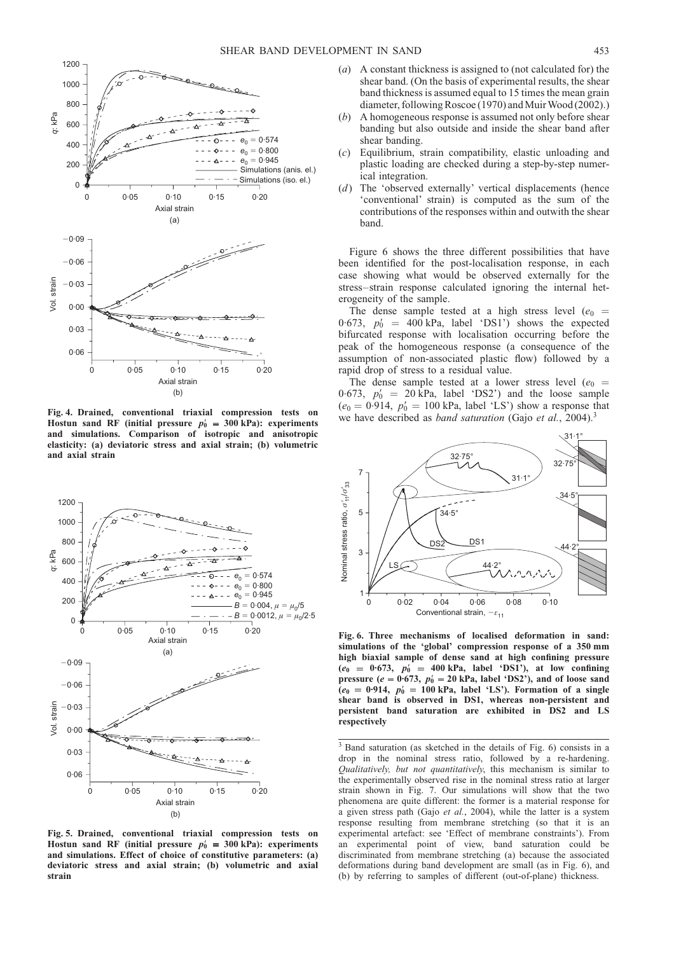<span id="page-4-0"></span>

Fig. 4. Drained, conventional triaxial compression tests on Hostun sand RF (initial pressure  $p'_0 = 300$  kPa): experiments and simulations. Comparison of isotropic and anisotropic elasticity: (a) deviatoric stress and axial strain; (b) volumetric and axial strain



Fig. 5. Drained, conventional triaxial compression tests on Hostun sand RF (initial pressure  $p'_0 = 300$  kPa): experiments and simulations. Effect of choice of constitutive parameters: (a) deviatoric stress and axial strain; (b) volumetric and axial strain

- (a) A constant thickness is assigned to (not calculated for) the shear band. (On the basis of experimental results, the shear band thickness is assumed equal to 15 times the mean grain diameter, followin[g Roscoe \(1970\)](#page-12-0) an[d Muir Wood \(2002\)](#page-12-0).)
- (b) A homogeneous response is assumed not only before shear banding but also outside and inside the shear band after shear banding.
- (c) Equilibrium, strain compatibility, elastic unloading and plastic loading are checked during a step-by-step numerical integration.
- (d) The 'observed externally' vertical displacements (hence 'conventional' strain) is computed as the sum of the contributions of the responses within and outwith the shear band.

Figure 6 shows the three different possibilities that have been identified for the post-localisation response, in each case showing what would be observed externally for the stress–strain response calculated ignoring the internal heterogeneity of the sample.

The dense sample tested at a high stress level ( $e_0$  = 0.673,  $p'_0 = 400 \text{ kPa}$ , label 'DS1') shows the expected bifurcated response with localisation occurring before the peak of the homogeneous response (a consequence of the assumption of non-associated plastic flow) followed by a rapid drop of stress to a residual value.

The dense sample tested at a lower stress level ( $e_0$  = 0.673,  $p'_0 = 20$  kPa, label 'DS2') and the loose sample  $(e_0 = 0.914, p_0 = 100 \text{ kPa}, \text{ label 'LS'})$  show a response that we have described as *band saturation* (Gajo et al.[, 2004\)](#page-12-0).<sup>3</sup>



Fig. 6. Three mechanisms of localised deformation in sand: simulations of the 'global' compression response of a 350 mm high biaxial sample of dense sand at high confining pressure  $(e_0 = 0.673, p_0^{\prime} = 400 \text{ kPa}, \text{ label } \text{'DS1'}), \text{ at low confining}$ pressure ( $e = 0.673$ ,  $p'_0 = 20$  kPa, label 'DS2'), and of loose sand  $(e_0 = 0.914, p'_0 = 100 \text{ kPa}$ , label 'LS'). Formation of a single shear band is observed in DS1, whereas non-persistent and persistent band saturation are exhibited in DS2 and LS respectively

<sup>3</sup> Band saturation (as sketched in the details of Fig. 6) consists in a drop in the nominal stress ratio, followed by a re-hardening. Qualitatively, but not quantitatively, this mechanism is similar to the experimentally observed rise in the nominal stress ratio at larger strain shown in Fig. 7. Our simulations will show that the two phenomena are quite different: the former is a material response for a given stress path (Gajo et al.[, 2004\),](#page-12-0) while the latter is a system response resulting from membrane stretching (so that it is an experimental artefact: see 'Effect of membrane constraints'). From an experimental point of view, band saturation could be discriminated from membrane stretching (a) because the associated deformations during band development are small (as in Fig. 6), and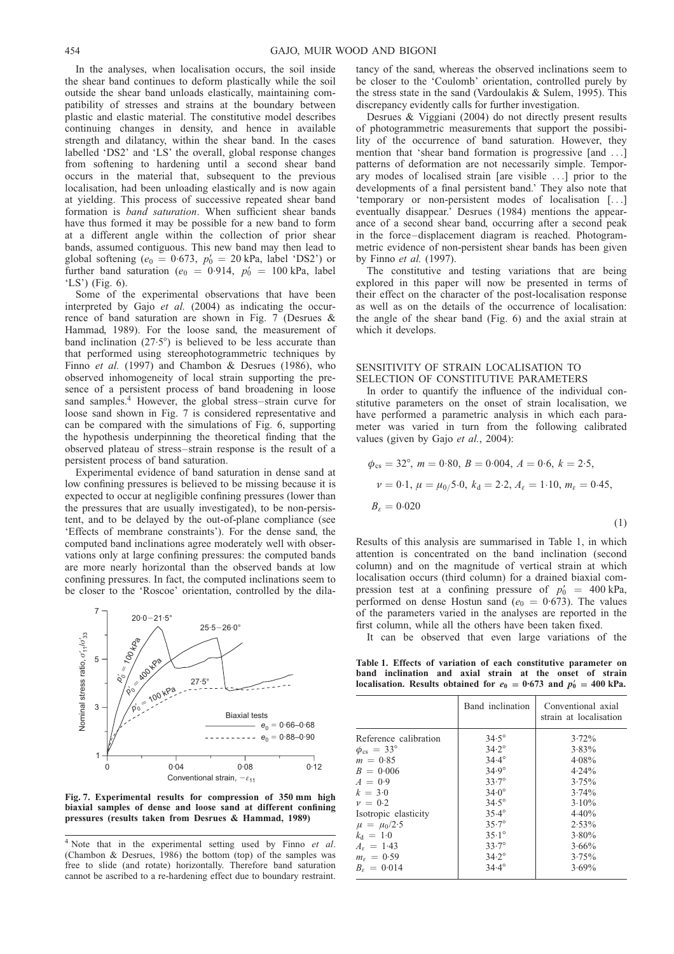In the analyses, when localisation occurs, the soil inside the shear band continues to deform plastically while the soil outside the shear band unloads elastically, maintaining compatibility of stresses and strains at the boundary between plastic and elastic material. The constitutive model describes continuing changes in density, and hence in available strength and dilatancy, within the shear band. In the cases labelled 'DS2' and 'LS' the overall, global response changes from softening to hardening until a second shear band occurs in the material that, subsequent to the previous localisation, had been unloading elastically and is now again at yielding. This process of successive repeated shear band formation is *band saturation*. When sufficient shear bands have thus formed it may be possible for a new band to form at a different angle within the collection of prior shear bands, assumed contiguous. This new band may then lead to global softening ( $e_0 = 0.673$ ,  $p'_0 = 20$  kPa, label 'DS2') or further band saturation ( $e_0 = 0.914$ ,  $p'_0 = 100$  kPa, label 'LS') (Fig. [6\)](#page-4-0).

Some of the experimental observations that have been interpreted by Gajo et al. [\(2004\)](#page-12-0) as indicating the occurrence of band saturation are shown in Fig. 7 [\(Desrues &](#page-12-0) [Hammad, 1989\)](#page-12-0). For the loose sand, the measurement of band inclination  $(27.5^{\circ})$  is believed to be less accurate than that performed using stereophotogrammetric techniques by Finno et al. [\(1997\)](#page-12-0) and [Chambon & Desrues \(1986\)](#page-12-0), who observed inhomogeneity of local strain supporting the presence of a persistent process of band broadening in loose sand samples.<sup>4</sup> However, the global stress-strain curve for loose sand shown in Fig. 7 is considered representative and can be compared with the simulations of Fig. [6,](#page-4-0) supporting the hypothesis underpinning the theoretical finding that the observed plateau of stress–strain response is the result of a persistent process of band saturation.

Experimental evidence of band saturation in dense sand at low confining pressures is believed to be missing because it is expected to occur at negligible confining pressures (lower than the pressures that are usually investigated), to be non-persistent, and to be delayed by the out-of-plane compliance (see 'Effects of membrane constraints'). For the dense sand, the computed band inclinations agree moderately well with observations only at large confining pressures: the computed bands are more nearly horizontal than the observed bands at low confining pressures. In fact, the computed inclinations seem to be closer to the 'Roscoe' orientation, controlled by the dila-



Fig. 7. Experimental results for compression of 350 mm high biaxial samples of dense and loose sand at different confining pressures (results taken from [Desrues & Hammad, 1989\)](#page-12-0)

tancy of the sand, whereas the observed inclinations seem to be closer to the 'Coulomb' orientation, controlled purely by the stress state in the sand [\(Vardoulakis & Sulem, 1995\)](#page-12-0). This discrepancy evidently calls for further investigation.

[Desrues & Viggiani \(2004\)](#page-12-0) do not directly present results of photogrammetric measurements that support the possibility of the occurrence of band saturation. However, they mention that 'shear band formation is progressive [and ...] patterns of deformation are not necessarily simple. Temporary modes of localised strain [are visible ...] prior to the developments of a final persistent band.' They also note that 'temporary or non-persistent modes of localisation [...] eventually disappear.' [Desrues \(1984\)](#page-12-0) mentions the appearance of a second shear band, occurring after a second peak in the force–displacement diagram is reached. Photogrammetric evidence of non-persistent shear bands has been given by [Finno](#page-12-0) et al. (1997).

The constitutive and testing variations that are being explored in this paper will now be presented in terms of their effect on the character of the post-localisation response as well as on the details of the occurrence of localisation: the angle of the shear band (Fig. [6\)](#page-4-0) and the axial strain at which it develops.

# SENSITIVITY OF STRAIN LOCALISATION TO SELECTION OF CONSTITUTIVE PARAMETERS

In order to quantify the influence of the individual constitutive parameters on the onset of strain localisation, we have performed a parametric analysis in which each parameter was varied in turn from the following calibrated values (given by Gajo et al.[, 2004\):](#page-12-0)

$$
\phi_{cs} = 32^{\circ}, \ m = 0.80, \ B = 0.004, \ A = 0.6, \ k = 2.5, \nu = 0.1, \ \mu = \mu_0 / 5.0, \ k_d = 2.2, \ A_{\varepsilon} = 1.10, \ m_{\varepsilon} = 0.45, \nB_{\varepsilon} = 0.020
$$
\n(1)

Results of this analysis are summarised in Table 1, in which attention is concentrated on the band inclination (second column) and on the magnitude of vertical strain at which localisation occurs (third column) for a drained biaxial compression test at a confining pressure of  $p'_0 = 400 \text{ kPa}$ , performed on dense Hostun sand ( $e_0 = 0.673$ ). The values of the parameters varied in the analyses are reported in the first column, while all the others have been taken fixed.

It can be observed that even large variations of the

Table 1. Effects of variation of each constitutive parameter on band inclination and axial strain at the onset of strain localisation. Results obtained for  $e_0 = 0.673$  and  $p'_0 = 400$  kPa.

|                              | Band inclination | Conventional axial<br>strain at localisation |
|------------------------------|------------------|----------------------------------------------|
| Reference calibration        | $34.5^\circ$     | $3.72\%$                                     |
| $\phi_{\rm cs} = 33^{\circ}$ | $34.2^{\circ}$   | $3.83\%$                                     |
| $m = 0.85$                   | $34.4^{\circ}$   | $4.08\%$                                     |
| $B = 0.006$                  | $34.9^{\circ}$   | $4.24\%$                                     |
| $A = 0.9$                    | $33.7^{\circ}$   | 3.75%                                        |
| $k = 3.0$                    | $34.0^{\circ}$   | $3.74\%$                                     |
| $\nu = 0.2$                  | $34.5^{\circ}$   | $3.10\%$                                     |
| Isotropic elasticity         | $35.4^{\circ}$   | 4.40%                                        |
| $\mu = \mu_0/2.5$            | $35.7^{\circ}$   | $2.53\%$                                     |
| $k_{\rm d} = 1.0$            | $35.1^{\circ}$   | $3.80\%$                                     |
| $A_{\epsilon} = 1.43$        | $33.7^\circ$     | $3.66\%$                                     |
| $m_e = 0.59$                 | $34.2^{\circ}$   | $3.75\%$                                     |
| $B_e = 0.014$                | $34.4^{\circ}$   | $3.69\%$                                     |
|                              |                  |                                              |

<sup>&</sup>lt;sup>4</sup> Note that in the experimental setting used by Finno et al. (Chambon & Desrues, 1986) the bottom (top) of the samples was free to slide (and rotate) horizontally. Therefore band saturation cannot be ascribed to a re-hardening effect due to boundary restraint.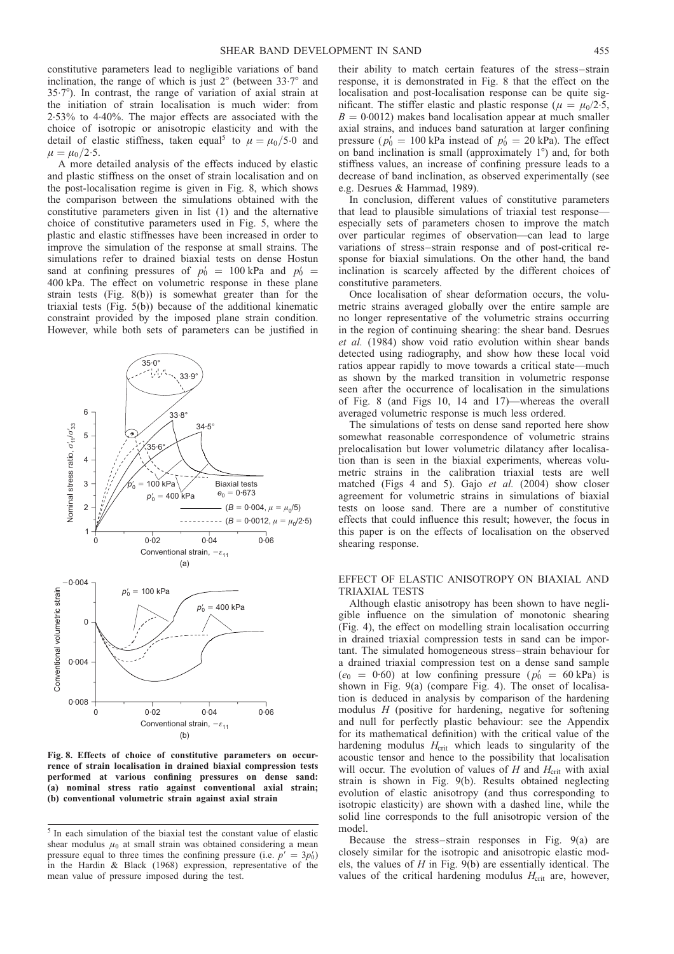constitutive parameters lead to negligible variations of band inclination, the range of which is just  $2^{\circ}$  (between  $33.7^{\circ}$  and 35.78). In contrast, the range of variation of axial strain at the initiation of strain localisation is much wider: from 2. 53% to 4. 40%. The major effects are associated with the choice of isotropic or anisotropic elasticity and with the detail of elastic stiffness, taken equal<sup>5</sup> to  $\mu = \mu_0/5.0$  and  $\mu = \mu_0/2.5$ .

A more detailed analysis of the effects induced by elastic and plastic stiffness on the onset of strain localisation and on the post-localisation regime is given in Fig. 8, which shows the comparison between the simulations obtained with the constitutive parameters given in list (1) and the alternative choice of constitutive parameters used in Fig. [5,](#page-4-0) where the plastic and elastic stiffnesses have been increased in order to improve the simulation of the response at small strains. The simulations refer to drained biaxial tests on dense Hostun sand at confining pressures of  $p'_0 = 100 \text{ kPa}$  and  $p'_0 =$ 400 kPa. The effect on volumetric response in these plane strain tests (Fig. 8(b)) is somewhat greater than for the triaxial tests (Fig. [5\(](#page-4-0)b)) because of the additional kinematic constraint provided by the imposed plane strain condition. However, while both sets of parameters can be justified in



Fig. 8. Effects of choice of constitutive parameters on occurrence of strain localisation in drained biaxial compression tests performed at various confining pressures on dense sand: (a) nominal stress ratio against conventional axial strain; (b) conventional volumetric strain against axial strain

their ability to match certain features of the stress–strain response, it is demonstrated in Fig. 8 that the effect on the localisation and post-localisation response can be quite significant. The stiffer elastic and plastic response ( $\mu = \mu_0/2.5$ ,  $B = 0.0012$ ) makes band localisation appear at much smaller axial strains, and induces band saturation at larger confining pressure ( $p'_0 = 100$  kPa instead of  $p'_0 = 20$  kPa). The effect on band inclination is small (approximately  $1^{\circ}$ ) and, for both stiffness values, an increase of confining pressure leads to a decrease of band inclination, as observed experimentally (see e.g. [Desrues & Hammad, 1989\)](#page-12-0).

In conclusion, different values of constitutive parameters that lead to plausible simulations of triaxial test response especially sets of parameters chosen to improve the match over particular regimes of observation—can lead to large variations of stress–strain response and of post-critical response for biaxial simulations. On the other hand, the band inclination is scarcely affected by the different choices of constitutive parameters.

Once localisation of shear deformation occurs, the volumetric strains averaged globally over the entire sample are no longer representative of the volumetric strains occurring in the region of continuing shearing: the shear band. [Desrues](#page-12-0) et al. [\(1984\)](#page-12-0) show void ratio evolution within shear bands detected using radiography, and show how these local void ratios appear rapidly to move towards a critical state—much as shown by the marked transition in volumetric response seen after the occurrence of localisation in the simulations of Fig. 8 (and Figs [10,](#page-7-0) [14](#page-9-0) and [17\)—](#page-10-0)whereas the overall averaged volumetric response is much less ordered.

The simulations of tests on dense sand reported here show somewhat reasonable correspondence of volumetric strains prelocalisation but lower volumetric dilatancy after localisation than is seen in the biaxial experiments, whereas volumetric strains in the calibration triaxial tests are well matched (Figs [4](#page-4-0) and [5\)](#page-4-0). Gajo et al. [\(2004\)](#page-12-0) show closer agreement for volumetric strains in simulations of biaxial tests on loose sand. There are a number of constitutive effects that could influence this result; however, the focus in this paper is on the effects of localisation on the observed shearing response.

# EFFECT OF ELASTIC ANISOTROPY ON BIAXIAL AND TRIAXIAL TESTS

Although elastic anisotropy has been shown to have negligible influence on the simulation of monotonic shearing (Fig. [4\)](#page-4-0), the effect on modelling strain localisation occurring in drained triaxial compression tests in sand can be important. The simulated homogeneous stress–strain behaviour for a drained triaxial compression test on a dense sand sample  $(e_0 = 0.60)$  at low confining pressure  $(p'_0 = 60 \text{ kPa})$  is shown in Fig. [9\(a](#page-7-0)) (compare Fig. [4\)](#page-4-0). The onset of localisation is deduced in analysis by comparison of the hardening modulus  $H$  (positive for hardening, negative for softening and null for perfectly plastic behaviour: see the [Appendix](#page-11-0) for its mathematical definition) with the critical value of the hardening modulus  $H_{\text{crit}}$  which leads to singularity of the acoustic tensor and hence to the possibility that localisation will occur. The evolution of values of  $H$  and  $H<sub>crit</sub>$  with axial strain is shown in Fig. [9\(](#page-7-0)b). Results obtained neglecting evolution of elastic anisotropy (and thus corresponding to isotropic elasticity) are shown with a dashed line, while the solid line corresponds to the full anisotropic version of the model.

Because the stress–strain responses in Fig. [9\(](#page-7-0)a) are closely similar for the isotropic and anisotropic elastic models, the values of  $H$  in Fig. [9\(](#page-7-0)b) are essentially identical. The values of the critical hardening modulus  $H_{\text{crit}}$  are, however,

<sup>5</sup> In each simulation of the biaxial test the constant value of elastic shear modulus  $\mu_0$  at small strain was obtained considering a mean pressure equal to three times the confining pressure (i.e.  $p' = 3p_0'$ ) in the Hardin & Black (1968) expression, representative of the mean value of pressure imposed during the test.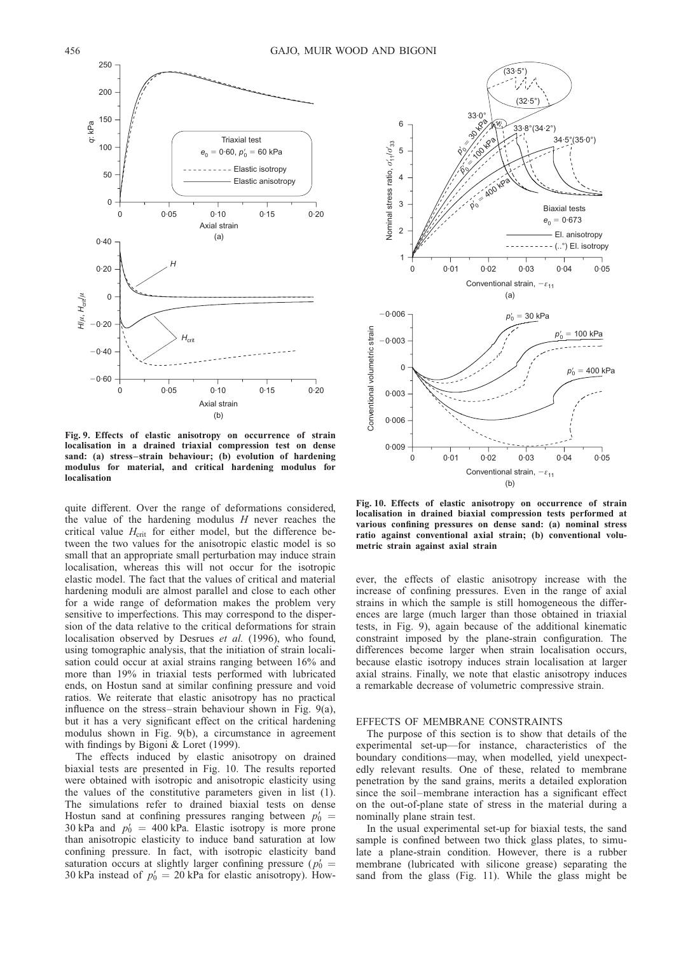<span id="page-7-0"></span>

Fig. 9. Effects of elastic anisotropy on occurrence of strain localisation in a drained triaxial compression test on dense sand: (a) stress–strain behaviour; (b) evolution of hardening modulus for material, and critical hardening modulus for localisation

quite different. Over the range of deformations considered, the value of the hardening modulus  $H$  never reaches the critical value  $H_{\text{crit}}$  for either model, but the difference between the two values for the anisotropic elastic model is so small that an appropriate small perturbation may induce strain localisation, whereas this will not occur for the isotropic elastic model. The fact that the values of critical and material hardening moduli are almost parallel and close to each other for a wide range of deformation makes the problem very sensitive to imperfections. This may correspond to the dispersion of the data relative to the critical deformations for strain localisation observed by [Desrues](#page-12-0) et al. (1996), who found, using tomographic analysis, that the initiation of strain localisation could occur at axial strains ranging between 16% and more than 19% in triaxial tests performed with lubricated ends, on Hostun sand at similar confining pressure and void ratios. We reiterate that elastic anisotropy has no practical influence on the stress–strain behaviour shown in Fig. 9(a), but it has a very significant effect on the critical hardening modulus shown in Fig. 9(b), a circumstance in agreement with findings by [Bigoni & Loret \(1999\).](#page-12-0)

The effects induced by elastic anisotropy on drained biaxial tests are presented in Fig. 10. The results reported were obtained with isotropic and anisotropic elasticity using the values of the constitutive parameters given in list (1). The simulations refer to drained biaxial tests on dense Hostun sand at confining pressures ranging between  $p_0' =$ 30 kPa and  $p_0' = 400$  kPa. Elastic isotropy is more prone than anisotropic elasticity to induce band saturation at low confining pressure. In fact, with isotropic elasticity band saturation occurs at slightly larger confining pressure ( $p_0' =$ 30 kPa instead of  $p_0' = 20$  kPa for elastic anisotropy). How-



Fig. 10. Effects of elastic anisotropy on occurrence of strain localisation in drained biaxial compression tests performed at various confining pressures on dense sand: (a) nominal stress ratio against conventional axial strain; (b) conventional volumetric strain against axial strain

ever, the effects of elastic anisotropy increase with the increase of confining pressures. Even in the range of axial strains in which the sample is still homogeneous the differences are large (much larger than those obtained in triaxial tests, in Fig. 9), again because of the additional kinematic constraint imposed by the plane-strain configuration. The differences become larger when strain localisation occurs, because elastic isotropy induces strain localisation at larger axial strains. Finally, we note that elastic anisotropy induces a remarkable decrease of volumetric compressive strain.

#### EFFECTS OF MEMBRANE CONSTRAINTS

The purpose of this section is to show that details of the experimental set-up—for instance, characteristics of the boundary conditions—may, when modelled, yield unexpectedly relevant results. One of these, related to membrane penetration by the sand grains, merits a detailed exploration since the soil–membrane interaction has a significant effect on the out-of-plane state of stress in the material during a nominally plane strain test.

In the usual experimental set-up for biaxial tests, the sand sample is confined between two thick glass plates, to simulate a plane-strain condition. However, there is a rubber membrane (lubricated with silicone grease) separating the sand from the glass (Fig. [11\).](#page-8-0) While the glass might be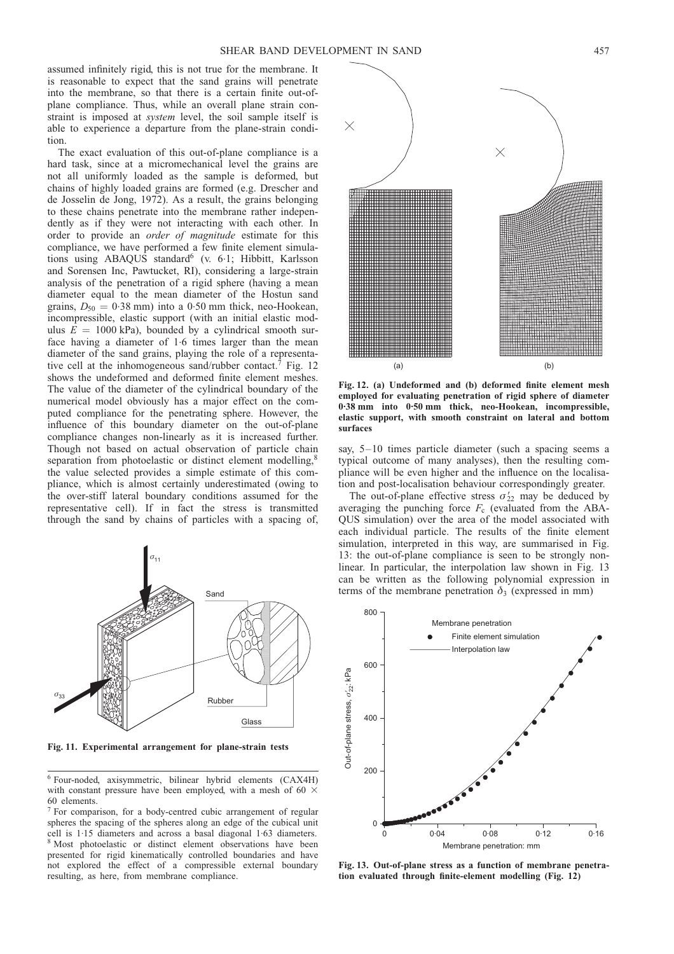<span id="page-8-0"></span>assumed infinitely rigid, this is not true for the membrane. It is reasonable to expect that the sand grains will penetrate into the membrane, so that there is a certain finite out-ofplane compliance. Thus, while an overall plane strain constraint is imposed at system level, the soil sample itself is able to experience a departure from the plane-strain condition.

The exact evaluation of this out-of-plane compliance is a hard task, since at a micromechanical level the grains are not all uniformly loaded as the sample is deformed, but chains of highly loaded grains are formed (e.g. [Drescher and](#page-12-0) [de Josselin de Jong, 1972\)](#page-12-0). As a result, the grains belonging to these chains penetrate into the membrane rather independently as if they were not interacting with each other. In order to provide an order of magnitude estimate for this compliance, we have performed a few finite element simulations using ABAQUS standard<sup>6</sup> (v. 6.1; Hibbitt, Karlsson and Sorensen Inc, Pawtucket, RI), considering a large-strain analysis of the penetration of a rigid sphere (having a mean diameter equal to the mean diameter of the Hostun sand grains,  $D_{50} = 0.38$  mm) into a 0.50 mm thick, neo-Hookean, incompressible, elastic support (with an initial elastic modulus  $E = 1000$  kPa), bounded by a cylindrical smooth surface having a diameter of 1.6 times larger than the mean diameter of the sand grains, playing the role of a representative cell at the inhomogeneous sand/rubber contact.7 Fig. 12 shows the undeformed and deformed finite element meshes. The value of the diameter of the cylindrical boundary of the numerical model obviously has a major effect on the computed compliance for the penetrating sphere. However, the influence of this boundary diameter on the out-of-plane compliance changes non-linearly as it is increased further. Though not based on actual observation of particle chain separation from photoelastic or distinct element modelling,<sup>8</sup> the value selected provides a simple estimate of this compliance, which is almost certainly underestimated (owing to the over-stiff lateral boundary conditions assumed for the representative cell). If in fact the stress is transmitted through the sand by chains of particles with a spacing of,



Fig. 11. Experimental arrangement for plane-strain tests

<sup>6</sup> Four-noded, axisymmetric, bilinear hybrid elements (CAX4H) with constant pressure have been employed, with a mesh of 60  $\times$ 60 elements.

<sup>7</sup> For comparison, for a body-centred cubic arrangement of regular spheres the spacing of the spheres along an edge of the cubical unit cell is 1. 15 diameters and across a basal diagonal 1. 63 diameters. <sup>8</sup> Most photoelastic or distinct element observations have been presented for rigid kinematically controlled boundaries and have not explored the effect of a compressible external boundary resulting, as here, from membrane compliance.



Fig. 12. (a) Undeformed and (b) deformed finite element mesh employed for evaluating penetration of rigid sphere of diameter 0.38 mm into 0.50 mm thick, neo-Hookean, incompressible, elastic support, with smooth constraint on lateral and bottom surfaces

say, 5–10 times particle diameter (such a spacing seems a typical outcome of many analyses), then the resulting compliance will be even higher and the influence on the localisation and post-localisation behaviour correspondingly greater.

The out-of-plane effective stress  $\sigma'_{22}$  may be deduced by averaging the punching force  $F_c$  (evaluated from the ABA-QUS simulation) over the area of the model associated with each individual particle. The results of the finite element simulation, interpreted in this way, are summarised in Fig. 13: the out-of-plane compliance is seen to be strongly nonlinear. In particular, the interpolation law shown in Fig. 13 can be written as the following polynomial expression in terms of the membrane penetration  $\delta_3$  (expressed in mm)



Fig. 13. Out-of-plane stress as a function of membrane penetration evaluated through finite-element modelling (Fig. 12)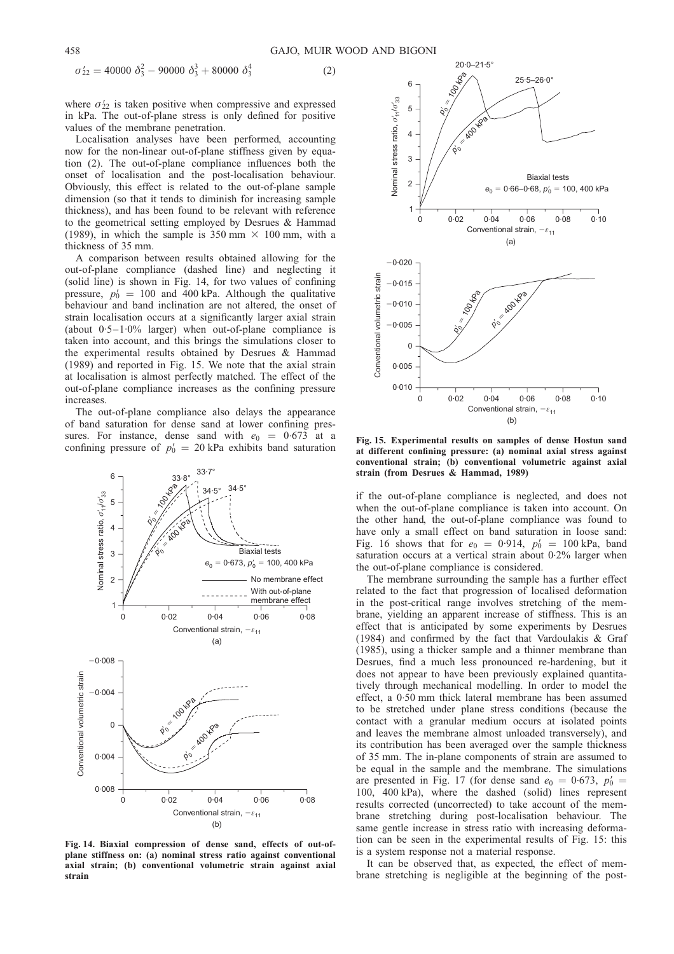$(2)$ 

<span id="page-9-0"></span>
$$
\sigma'_{22} = 40000 \ \delta_3^2 - 90000 \ \delta_3^3 + 80000 \ \delta_3^4
$$

where  $\sigma'_{22}$  is taken positive when compressive and expressed in kPa. The out-of-plane stress is only defined for positive values of the membrane penetration.

Localisation analyses have been performed, accounting now for the non-linear out-of-plane stiffness given by equation (2). The out-of-plane compliance influences both the onset of localisation and the post-localisation behaviour. Obviously, this effect is related to the out-of-plane sample dimension (so that it tends to diminish for increasing sample thickness), and has been found to be relevant with reference to the geometrical setting employed by [Desrues & Hammad](#page-12-0) [\(1989\)](#page-12-0), in which the sample is 350 mm  $\times$  100 mm, with a thickness of 35 mm.

A comparison between results obtained allowing for the out-of-plane compliance (dashed line) and neglecting it (solid line) is shown in Fig. 14, for two values of confining pressure,  $p_0' = 100$  and 400 kPa. Although the qualitative behaviour and band inclination are not altered, the onset of strain localisation occurs at a significantly larger axial strain (about 0. 5–1.0% larger) when out-of-plane compliance is taken into account, and this brings the simulations closer to the experimental results obtained by [Desrues & Hammad](#page-12-0) [\(1989\)](#page-12-0) and reported in Fig. 15. We note that the axial strain at localisation is almost perfectly matched. The effect of the out-of-plane compliance increases as the confining pressure increases.

The out-of-plane compliance also delays the appearance of band saturation for dense sand at lower confining pressures. For instance, dense sand with  $e_0 = 0.673$  at a confining pressure of  $p_0' = 20$  kPa exhibits band saturation



Fig. 14. Biaxial compression of dense sand, effects of out-ofplane stiffness on: (a) nominal stress ratio against conventional axial strain; (b) conventional volumetric strain against axial strain



Fig. 15. Experimental results on samples of dense Hostun sand at different confining pressure: (a) nominal axial stress against conventional strain; (b) conventional volumetric against axial strain (from [Desrues & Hammad, 1989\)](#page-12-0)

if the out-of-plane compliance is neglected, and does not when the out-of-plane compliance is taken into account. On the other hand, the out-of-plane compliance was found to have only a small effect on band saturation in loose sand: Fig. [16](#page-10-0) shows that for  $e_0 = 0.914$ ,  $p'_0 = 100$  kPa, band saturation occurs at a vertical strain about 0.2% larger when the out-of-plane compliance is considered.

The membrane surrounding the sample has a further effect related to the fact that progression of localised deformation in the post-critical range involves stretching of the membrane, yielding an apparent increase of stiffness. This is an effect that is anticipated by some experiments by [Desrues](#page-12-0) [\(1984\)](#page-12-0) and confirmed by the fact that [Vardoulakis & Graf](#page-12-0) [\(1985\)](#page-12-0), using a thicker sample and a thinner membrane than Desrues, find a much less pronounced re-hardening, but it does not appear to have been previously explained quantitatively through mechanical modelling. In order to model the effect, a 0. 50 mm thick lateral membrane has been assumed to be stretched under plane stress conditions (because the contact with a granular medium occurs at isolated points and leaves the membrane almost unloaded transversely), and its contribution has been averaged over the sample thickness of 35 mm. The in-plane components of strain are assumed to be equal in the sample and the membrane. The simulations are presented in Fig. [17](#page-10-0) (for dense sand  $e_0 = 0.673$ ,  $p'_0 =$ 100, 400 kPa), where the dashed (solid) lines represent results corrected (uncorrected) to take account of the membrane stretching during post-localisation behaviour. The same gentle increase in stress ratio with increasing deformation can be seen in the experimental results of Fig. 15: this is a system response not a material response.

It can be observed that, as expected, the effect of membrane stretching is negligible at the beginning of the post-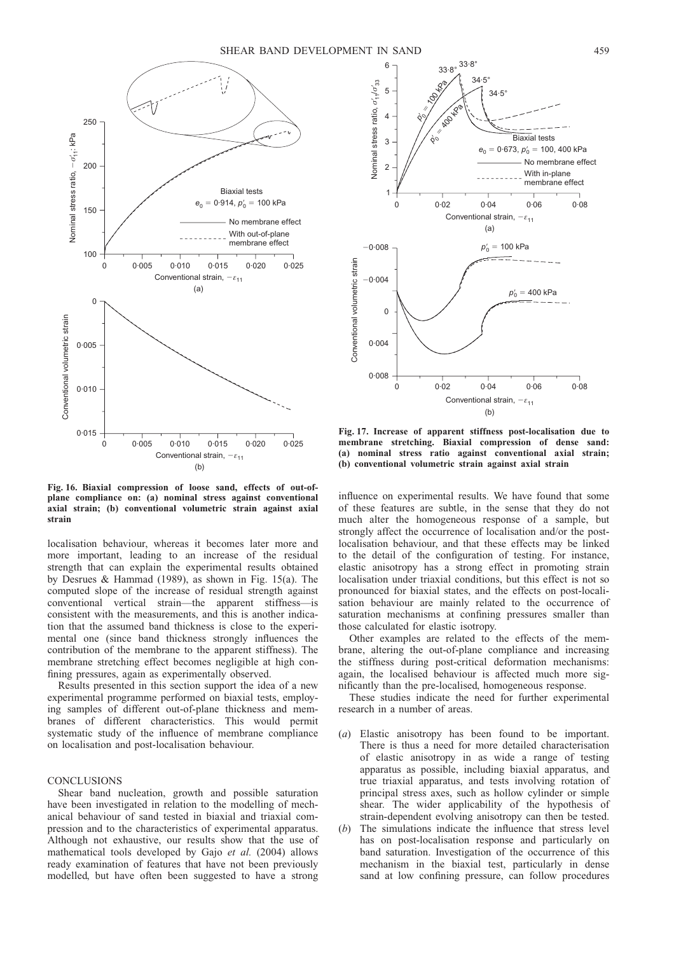<span id="page-10-0"></span>

Fig. 16. Biaxial compression of loose sand, effects of out-ofplane compliance on: (a) nominal stress against conventional axial strain; (b) conventional volumetric strain against axial strain

localisation behaviour, whereas it becomes later more and more important, leading to an increase of the residual strength that can explain the experimental results obtained by [Desrues & Hammad \(1989\)](#page-12-0), as shown in Fig. [15\(a](#page-9-0)). The computed slope of the increase of residual strength against conventional vertical strain—the apparent stiffness—is consistent with the measurements, and this is another indication that the assumed band thickness is close to the experimental one (since band thickness strongly influences the contribution of the membrane to the apparent stiffness). The membrane stretching effect becomes negligible at high confining pressures, again as experimentally observed.

Results presented in this section support the idea of a new experimental programme performed on biaxial tests, employing samples of different out-of-plane thickness and membranes of different characteristics. This would permit systematic study of the influence of membrane compliance on localisation and post-localisation behaviour.

## **CONCLUSIONS**

Shear band nucleation, growth and possible saturation have been investigated in relation to the modelling of mechanical behaviour of sand tested in biaxial and triaxial compression and to the characteristics of experimental apparatus. Although not exhaustive, our results show that the use of mathematical tools developed by Gajo et al. [\(2004\)](#page-12-0) allows ready examination of features that have not been previously modelled, but have often been suggested to have a strong



Fig. 17. Increase of apparent stiffness post-localisation due to membrane stretching. Biaxial compression of dense sand: (a) nominal stress ratio against conventional axial strain; (b) conventional volumetric strain against axial strain

influence on experimental results. We have found that some of these features are subtle, in the sense that they do not much alter the homogeneous response of a sample, but strongly affect the occurrence of localisation and/or the postlocalisation behaviour, and that these effects may be linked to the detail of the configuration of testing. For instance, elastic anisotropy has a strong effect in promoting strain localisation under triaxial conditions, but this effect is not so pronounced for biaxial states, and the effects on post-localisation behaviour are mainly related to the occurrence of saturation mechanisms at confining pressures smaller than those calculated for elastic isotropy.

Other examples are related to the effects of the membrane, altering the out-of-plane compliance and increasing the stiffness during post-critical deformation mechanisms: again, the localised behaviour is affected much more significantly than the pre-localised, homogeneous response.

These studies indicate the need for further experimental research in a number of areas.

- Elastic anisotropy has been found to be important. There is thus a need for more detailed characterisation of elastic anisotropy in as wide a range of testing apparatus as possible, including biaxial apparatus, and true triaxial apparatus, and tests involving rotation of principal stress axes, such as hollow cylinder or simple shear. The wider applicability of the hypothesis of strain-dependent evolving anisotropy can then be tested.
- (b) The simulations indicate the influence that stress level has on post-localisation response and particularly on band saturation. Investigation of the occurrence of this mechanism in the biaxial test, particularly in dense sand at low confining pressure, can follow procedures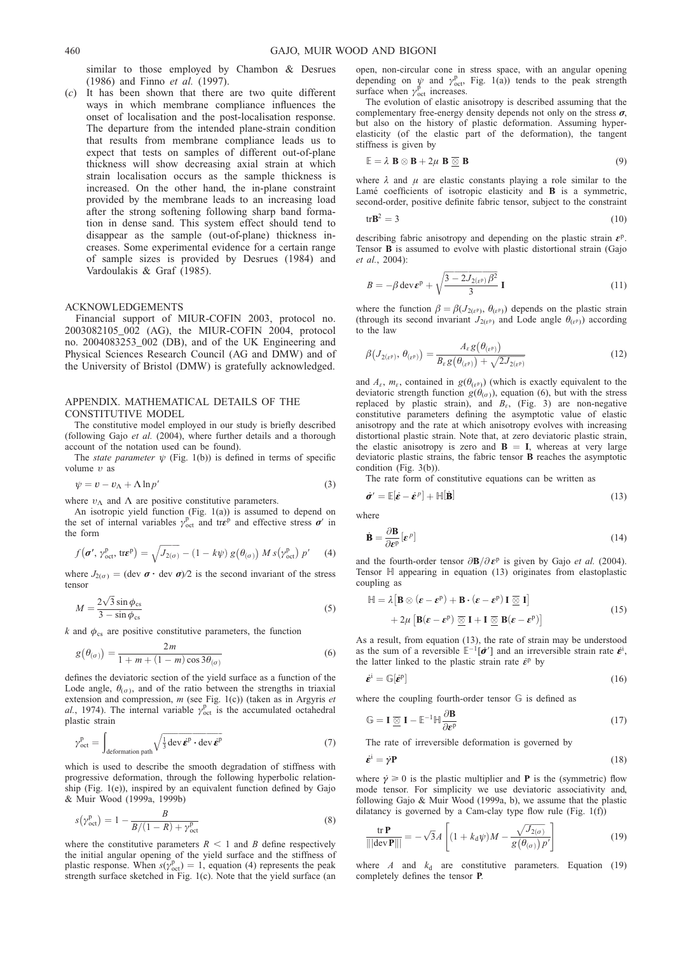<span id="page-11-0"></span>similar to those employed by [Chambon & Desrues](#page-12-0) [\(1986\)](#page-12-0) and Finno et al. [\(1997\)](#page-12-0).

(c) It has been shown that there are two quite different ways in which membrane compliance influences the onset of localisation and the post-localisation response. The departure from the intended plane-strain condition that results from membrane compliance leads us to expect that tests on samples of different out-of-plane thickness will show decreasing axial strain at which strain localisation occurs as the sample thickness is increased. On the other hand, the in-plane constraint provided by the membrane leads to an increasing load after the strong softening following sharp band formation in dense sand. This system effect should tend to disappear as the sample (out-of-plane) thickness increases. Some experimental evidence for a certain range of sample sizes is provided by [Desrues \(1984\)](#page-12-0) and [Vardoulakis & Graf \(1985\)](#page-12-0).

### ACKNOWLEDGEMENTS

Financial support of MIUR-COFIN 2003, protocol no.  $2003082105002$  (AG), the MIUR-COFIN 2004, protocol no. 2004083253\_002 (DB), and of the UK Engineering and Physical Sciences Research Council (AG and DMW) and of the University of Bristol (DMW) is gratefully acknowledged.

## APPENDIX. MATHEMATICAL DETAILS OF THE CONSTITUTIVE MODEL

The constitutive model employed in our study is briefly described (following Gajo et al. [\(2004\),](#page-12-0) where further details and a thorough account of the notation used can be found).

The *state parameter*  $\psi$  (Fig. [1\(b](#page-2-0))) is defined in terms of specific volume ı as

$$
\psi = v - v_{\Lambda} + \Lambda \ln p' \tag{3}
$$

where  $v_{\Lambda}$  and  $\Lambda$  are positive constitutive parameters.

An isotropic yield function (Fig. [1\(a](#page-2-0))) is assumed to depend on the set of internal variables  $\gamma_{\text{oct}}^{\text{p}}$  and tr $\epsilon^{\text{p}}$  and effective stress  $\sigma'$  in the form

$$
f(\boldsymbol{\sigma}', \gamma_{\text{oct}}^{\text{p}}, \text{tr}\boldsymbol{\varepsilon}^{\text{p}}) = \sqrt{J_{2(\sigma)}} - (1 - k\psi) g(\theta_{(\sigma)}) M s(\gamma_{\text{oct}}^{\text{p}}) p' \tag{4}
$$

where  $J_{2(\sigma)} = (\text{dev } \sigma \cdot \text{ dev } \sigma)/2$  is the second invariant of the stress tensor

$$
M = \frac{2\sqrt{3}\sin\phi_{\text{cs}}}{3 - \sin\phi_{\text{cs}}}
$$
(5)

 $k$  and  $\phi_{\text{cs}}$  are positive constitutive parameters, the function

$$
g(\theta_{(\sigma)}) = \frac{2m}{1+m+(1-m)\cos 3\theta_{(\sigma)}}
$$
(6)

defines the deviatoric section of the yield surface as a function of the Lode angle,  $\theta_{(\sigma)}$ , and of the ratio between the strengths in triaxial extension and compression, m (see Fig[. 1\(c](#page-2-0))) (taken as in [Argyris](#page-12-0) et al.[, 1974\).](#page-12-0) The internal variable  $\gamma_{\text{oct}}^{\text{p}}$  is the accumulated octahedral plastic strain

$$
\gamma_{\text{oct}}^{\text{p}} = \int_{\text{deformation path}} \sqrt{\frac{1}{3} \text{dev} \,\hat{\boldsymbol{\varepsilon}}^{\text{p}} \cdot \text{dev} \,\hat{\boldsymbol{\varepsilon}}^{\text{p}}}
$$
(7)

which is used to describe the smooth degradation of stiffness with progressive deformation, through the following hyperbolic relationship (Fig.  $1(e)$ ), inspired by an equivalent function defined by [Gajo](#page-12-0) [& Muir Wood \(1999a, 1999b\)](#page-12-0)

$$
s(\gamma_{\text{oct}}^{\text{p}}) = 1 - \frac{B}{B/(1 - R) + \gamma_{\text{oct}}^{\text{p}}}
$$
\n(8)

where the constitutive parameters  $R < 1$  and B define respectively the initial angular opening of the yield surface and the stiffness of plastic response. When  $s(y_{\text{oct}}^p) = 1$ , equation (4) represents the peak strength surface sketched in Fig[. 1\(c](#page-2-0)). Note that the yield surface (an open, non-circular cone in stress space, with an angular opening depending on  $\psi$  and  $\gamma_{\text{oct}}^{\text{p}}$ , Fig. [1\(a](#page-2-0))) tends to the peak strength surface when  $\gamma_{\text{oct}}^{\vec{p}}$  increases.

The evolution of elastic anisotropy is described assuming that the complementary free-energy density depends not only on the stress  $\sigma$ , but also on the history of plastic deformation. Assuming hyperelasticity (of the elastic part of the deformation), the tangent stiffness is given by

$$
\mathbb{E} = \lambda \mathbf{B} \otimes \mathbf{B} + 2\mu \mathbf{B} \overline{\otimes} \mathbf{B}
$$
 (9)

where  $\lambda$  and  $\mu$  are elastic constants playing a role similar to the Lamé coefficients of isotropic elasticity and **B** is a symmetric, second-order, positive definite fabric tensor, subject to the constraint

$$
tr\mathbf{B}^2 = 3\tag{10}
$$

describing fabric anisotropy and depending on the plastic strain  $\varepsilon$ <sup>p</sup>. Tensor B is assumed to evolve with plastic distortional strain [\(Gajo](#page-12-0) et al.[, 2004\):](#page-12-0)

$$
B = -\beta \operatorname{dev} \boldsymbol{\varepsilon}^{\mathrm{p}} + \sqrt{\frac{3 - 2J_{2(\varepsilon^{\mathrm{p}})}\beta^2}{3}} \mathbf{I}
$$
 (11)

where the function  $\beta = \beta(J_{2(\varepsilon^p)}, \theta_{(\varepsilon^p)})$  depends on the plastic strain (through its second invariant  $J_{2(\varepsilon^p)}$  and Lode angle  $\theta_{(\varepsilon^p)}$ ) according to the law

$$
\beta\big(J_{2(\varepsilon^p)},\,\theta_{(\varepsilon^p)}\big) = \frac{A_\varepsilon g\big(\theta_{(\varepsilon^p)}\big)}{B_\varepsilon g\big(\theta_{(\varepsilon^p)}\big) + \sqrt{2J_{2(\varepsilon^p)}}}
$$
\n(12)

and  $A_{\varepsilon}$ ,  $m_{\varepsilon}$ , contained in  $g(\theta_{(\varepsilon^p)})$  (which is exactly equivalent to the deviatoric strength function  $g(\theta_{(\sigma)})$ , equation (6), but with the stress replaced by plastic strain), and  $B_{\varepsilon}$ , (Fig. [3\)](#page-3-0) are non-negative constitutive parameters defining the asymptotic value of elastic anisotropy and the rate at which anisotropy evolves with increasing distortional plastic strain. Note that, at zero deviatoric plastic strain, the elastic anisotropy is zero and  $B = I$ , whereas at very large deviatoric plastic strains, the fabric tensor B reaches the asymptotic condition (Fig. [3\(b](#page-3-0))).

The rate form of constitutive equations can be written as

$$
\dot{\boldsymbol{\sigma}}' = \mathbb{E}[\dot{\boldsymbol{\varepsilon}} - \dot{\boldsymbol{\varepsilon}}^p] + \mathbb{H}[\dot{\mathbf{B}}]
$$
(13)

where

$$
\dot{\mathbf{B}} = \frac{\partial \mathbf{B}}{\partial \varepsilon^{\mathbf{p}}} \left[ \varepsilon^{\rho} \right] \tag{14}
$$

and the fourth-order tensor  $\partial \mathbf{B}/\partial \boldsymbol{\varepsilon}^p$  is given by Gajo *et al.* [\(2004\)](#page-12-0). Tensor H appearing in equation (13) originates from elastoplastic coupling as

$$
\mathbb{H} = \lambda \left[ \mathbf{B} \otimes (\boldsymbol{\varepsilon} - \boldsymbol{\varepsilon}^{p}) + \mathbf{B} \cdot (\boldsymbol{\varepsilon} - \boldsymbol{\varepsilon}^{p}) \mathbf{I} \underline{\otimes} \mathbf{I} \right] + 2\mu \left[ \mathbf{B} (\boldsymbol{\varepsilon} - \boldsymbol{\varepsilon}^{p}) \underline{\otimes} \mathbf{I} + \mathbf{I} \underline{\otimes} \mathbf{B} (\boldsymbol{\varepsilon} - \boldsymbol{\varepsilon}^{p}) \right]
$$
(15)

As a result, from equation (13), the rate of strain may be understood as the sum of a reversible  $\mathbb{E}^{-1}[\vec{\sigma}']$  and an irreversible strain rate  $\vec{\epsilon}^i$ , the latter linked to the plastic strain rate  $\dot{\epsilon}^{\rm p}$  by

$$
\dot{\boldsymbol{\varepsilon}}^i = \mathbb{G}[\dot{\boldsymbol{\varepsilon}}^p] \tag{16}
$$

where the coupling fourth-order tensor G is defined as

$$
\mathbb{G} = \mathbf{I} \; \underline{\otimes} \; \mathbf{I} - \mathbb{E}^{-1} \mathbb{H} \frac{\partial \mathbf{B}}{\partial \mathbf{\varepsilon}^p}
$$
\n(17)

The rate of irreversible deformation is governed by

$$
\dot{\boldsymbol{\varepsilon}}^{\mathrm{i}} = \dot{\gamma} \mathbf{P} \tag{18}
$$

where  $\dot{\gamma} \ge 0$  is the plastic multiplier and **P** is the (symmetric) flow mode tensor. For simplicity we use deviatoric associativity and, followin[g Gajo & Muir Wood \(1999a, b\),](#page-12-0) we assume that the plastic dilatancy is governed by a Cam-clay type flow rule (Fig.  $1(f)$ )

$$
\frac{\text{tr }\mathbf{P}}{\|\text{dev }\mathbf{P}\|} = -\sqrt{3}A \left[ (1 + k_{\text{d}}\psi)M - \frac{\sqrt{J_{2(\sigma)}}}{g(\theta_{(\sigma)})p'} \right]
$$
(19)

where A and  $k_d$  are constitutive parameters. Equation (19) completely defines the tensor P.